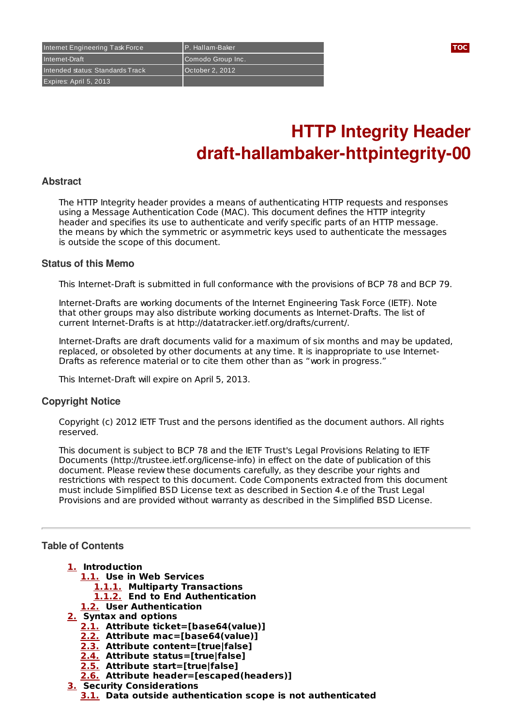Internet Engineering Task Force P. Hallam-Baker **[TOC](#page-0-0)** Internet-Draft Comodo Group Inc. Intended status: Standards Track | October 2, 2012 Expires: April 5, 2013

# **HTTP Integrity Header draft-hallambaker-httpintegrity-00**

### **Abstract**

The HTTP Integrity header provides a means of authenticating HTTP requests and responses using a Message Authentication Code (MAC). This document defines the HTTP integrity header and specifies its use to authenticate and verify specific parts of an HTTP message. the means by which the symmetric or asymmetric keys used to authenticate the messages is outside the scope of this document.

### **Status of this Memo**

This Internet-Draft is submitted in full conformance with the provisions of BCP 78 and BCP 79.

Internet-Drafts are working documents of the Internet Engineering Task Force (IETF). Note that other groups may also distribute working documents as Internet-Drafts. The list of current Internet-Drafts is at http://datatracker.ietf.org/drafts/current/.

Internet-Drafts are draft documents valid for a maximum of six months and may be updated, replaced, or obsoleted by other documents at any time. It is inappropriate to use Internet-Drafts as reference material or to cite them other than as "work in progress."

This Internet-Draft will expire on April 5, 2013.

### **Copyright Notice**

Copyright (c) 2012 IETF Trust and the persons identified as the document authors. All rights reserved.

This document is subject to BCP 78 and the IETF Trust's Legal Provisions Relating to IETF Documents (http://trustee.ietf.org/license-info) in effect on the date of publication of this document. Please review these documents carefully, as they describe your rights and restrictions with respect to this document. Code Components extracted from this document must include Simplified BSD License text as described in Section 4.e of the Trust Legal Provisions and are provided without warranty as described in the Simplified BSD License.

## <span id="page-0-0"></span>**Table of Contents**

- **[1.](#page-1-0) Introduction**
	- **[1.1.](#page-1-1) Use in Web Services**
		- **[1.1.1.](#page-1-2) Multiparty Transactions**
		- **[1.1.2.](#page-1-3) End to End Authentication**
	- **[1.2.](#page-1-4) User Authentication**
- **[2.](#page-1-5) Syntax and options**
	- **[2.1.](#page-1-6) Attribute ticket=[base64(value)]**
	- **[2.2.](#page-1-7) Attribute mac=[base64(value)]**
	- **[2.3.](#page-1-8) Attribute content=[true|false]**
	- **[2.4.](#page-1-9) Attribute status=[true|false]**
	- **[2.5.](#page-1-10) Attribute start=[true|false] [2.6.](#page-1-11) Attribute header=[escaped(headers)]**
- **[3.](#page-1-12) Security Considerations**
	- **[3.1.](#page-2-0) Data outside authentication scope is not authenticated**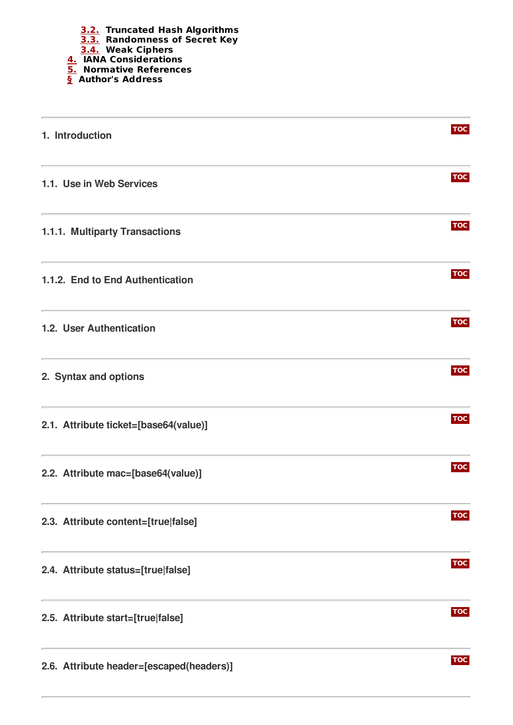

<span id="page-1-12"></span><span id="page-1-11"></span><span id="page-1-10"></span><span id="page-1-9"></span><span id="page-1-8"></span><span id="page-1-7"></span><span id="page-1-6"></span><span id="page-1-5"></span><span id="page-1-4"></span><span id="page-1-3"></span><span id="page-1-2"></span><span id="page-1-1"></span><span id="page-1-0"></span>

| 1. Introduction                                                                                           | <b>TOC</b> |
|-----------------------------------------------------------------------------------------------------------|------------|
| <u> 1989 - Johann Stoff, amerikansk politiker (d. 1989)</u><br>1.1. Use in Web Services                   | <b>TOC</b> |
| 1.1.1. Multiparty Transactions                                                                            | <b>TOC</b> |
| 1.1.2. End to End Authentication                                                                          | <b>TOC</b> |
| <u> 1980 - Johann Barn, amerikansk politiker (</u><br>1.2. User Authentication                            | <b>TOC</b> |
| <u> 1980 - Johann Barbara, martxa alemaniar a</u><br>2. Syntax and options                                | <b>TOC</b> |
| <u> 1980 - Andrea Stadt Britain, amerikansk politik (* 1908)</u><br>2.1. Attribute ticket=[base64(value)] | <b>TOC</b> |
| 2.2. Attribute mac=[base64(value)]                                                                        | <b>TOC</b> |
| 2.3. Attribute content=[true false]                                                                       | <b>TOC</b> |
| 2.4. Attribute status=[true false]                                                                        | <b>TOC</b> |
| 2.5. Attribute start=[true false]                                                                         | <b>TOC</b> |
| 2.6. Attribute header=[escaped(headers)]                                                                  | <b>TOC</b> |